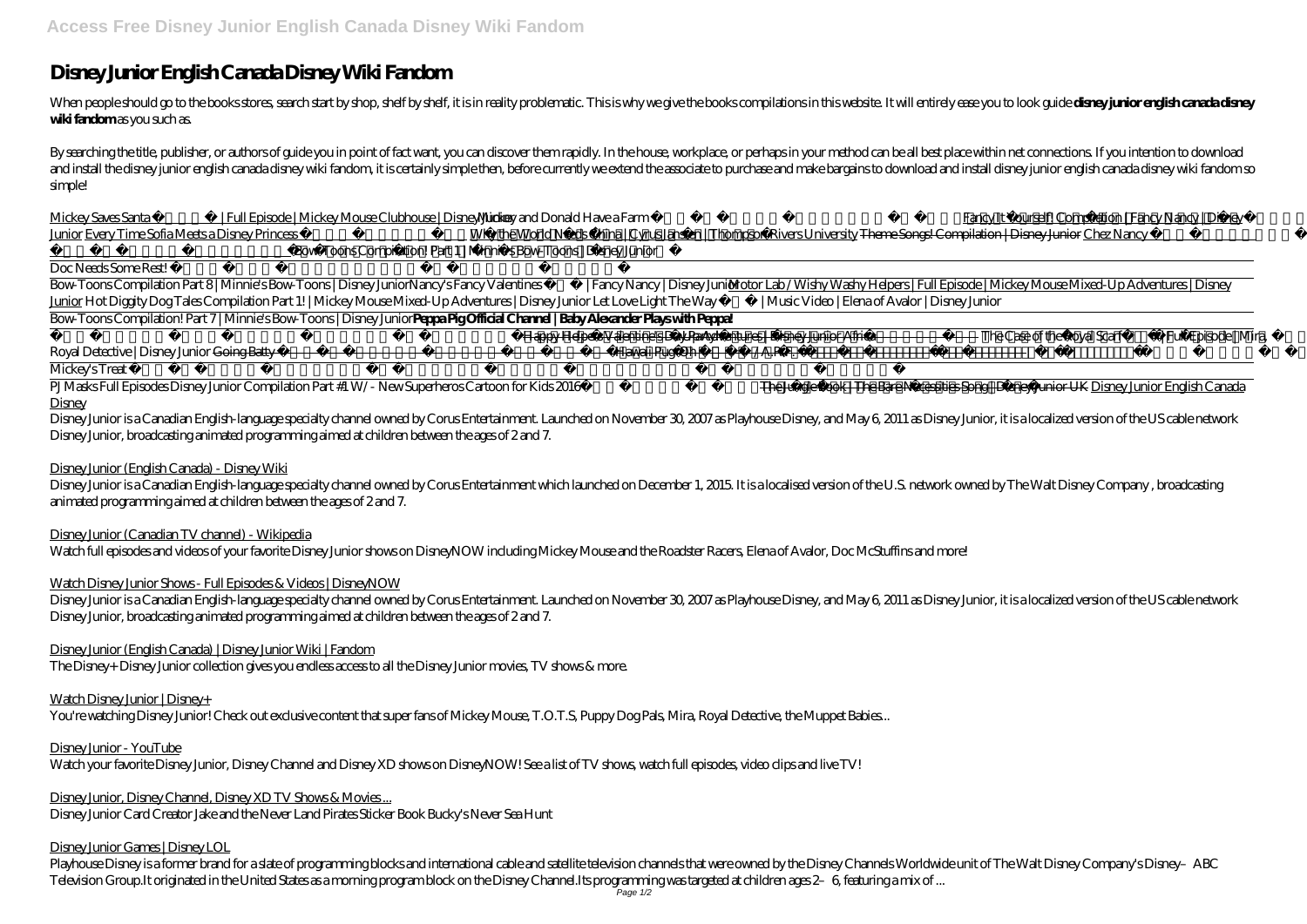# **Disney Junior English Canada Disney Wiki Fandom**

When people should go to the books stores, search start by shop, shelf by shelf, it is in reality problematic. This is why we give the books compilations in this website. It will entirely ease you to look guide **disney jun** wiki fandomas you such as.

By searching the title, publisher, or authors of guide you in point of fact want, you can discover them rapidly. In the house, workplace, or perhaps in your method can be all best place within net connections. If you inten and install the disney junior english canada disney wiki fandom, it is certainly simple then, before currently we extend the associate to purchase and make bargains to download and install disney junior english canada disn simple!

Mickey Saves Santa | Full Episode | Mickey Mouse Clubhouse | Disney Ju**nidiar**key and Donald Have a Farm | Full Episode | Mickey Mouse Clubhouse | Disney Juni<mark>ba</mark>ncy It Yourself! Compilation | Fancy Nancy | Disney Junior Every Time Sofia Meets a Disney Princess | Sofia the First | Disney JunioWhy the World Needs China | Cyrus Janssen | Thompson Rivers University <del>Theme Songs! Compilation | Disney Junior</del> Chez Nancy */ School De Fan* | Full Episode | Fancy Nancy | Disney Junior*Bow-Toons Compilation! Part 1 | Minnie's Bow-Toons | Disney Junior*

Doc Needs Some Rest! | Doc McStuffins | Disney Junior

Disney Junior is a Canadian English-language specialty channel owned by Corus Entertainment. Launched on November 30, 2007 as Playhouse Disney, and May 6, 2011 as Disney Junior, it is a localized version of the US cable ne Disney Junior, broadcasting animated programming aimed at children between the ages of 2 and 7.

Bow-Toons Compilation Part 8 | Minnie's Bow-Toons | Disney Junior*Nancy's Fancy Valentines ❤️ | Fancy Nancy | Disney Junior* Motor Lab / Wishy Washy Helpers | Full Episode | Mickey Mouse Mixed-Up Adventures | Disney Junior *Hot Diggity Dog Tales Compilation Part 1! | Mickey Mouse Mixed-Up Adventures | Disney Junior Let Love Light The Way ❤️ | Music Video | Elena of Avalor | Disney Junior* Bow-Toons Compilation! Part 7 | Minnie's Bow-Toons | Disney Junior**Peppa Pig Official Channel | Baby Alexander Plays with Peppa!**

Motor Lab Magic Moment | Mickey Mouse Mixed-Up Adventures | Disney Junior Afri<del>kiappy Helpers Valentine's Day Party! | Mickey Mouse Roadster Racers | Disney Junio*ffhe Case of the Royal Scarf | Full Episode | Mira*,</del> *Royal Detective | Disney Junior* <del>Going Batty / Scare B\u0026B | Full Episode | Vampirina | Disney Ju**Hiaw**aii Pug-Oh / A.R.F. | Full Episode | Puppy Dog Pals | Disney Junior</del>

Disney Junior is a Canadian English-language specialty channel owned by Corus Entertainment. Launched on November 30, 2007 as Playhouse Disney, and May 6, 2011 as Disney Junior, it is a localized version of the US cable ne Disney Junior, broadcasting animated programming aimed at children between the ages of 2 and 7.

Mickey's Treat | Full Episode | Mickey Mouse Clubhouse | Disney Junior

PJMasks Full Episodes Disney Junior Compilation Part #1 W/- New Superheros Cartoon for Kids 2016 Kids / Bluey / Disney Junior Uffre Jungle Book | The Bare Necessities Song | Disney Junior UK Disney Junior English Canada **Disney** 

Disney Junior (English Canada) - Disney Wiki

Disney Junior is a Canadian English-language specialty channel owned by Corus Entertainment which launched on December 1, 2015. It is a localised version of the U.S. network owned by The Walt Disney Company , broadcasting animated programming aimed at children between the ages of 2 and 7.

Disney Junior (Canadian TV channel) - Wikipedia

Watch full episodes and videos of your favorite Disney Junior shows on DisneyNOW including Mickey Mouse and the Roadster Racers, Elena of Avalor, Doc McStuffins and more!

Watch Disney Junior Shows - Full Episodes & Videos | DisneyNOW

Disney Junior (English Canada) | Disney Junior Wiki | Fandom

The Disney+ Disney Junior collection gives you endless access to all the Disney Junior movies, TV shows & more.

Watch Disney Junior | Disney+

You're watching Disney Junior! Check out exclusive content that super fans of Mickey Mouse, T.O.T.S, Puppy Dog Pals, Mira, Royal Detective, the Muppet Babies...

Disney Junior - YouTube

Watch your favorite Disney Junior, Disney Channel and Disney XD shows on DisneyNOW! See a list of TV shows, watch full episodes, video clips and live TV!

Disney Junior, Disney Channel, Disney XD TV Shows & Movies ... Disney Junior Card Creator Jake and the Never Land Pirates Sticker Book Bucky's Never Sea Hunt

Disney Junior Games | Disney LOL

Playhouse Disney is a former brand for a slate of programming blocks and international cable and satellite television channels that were owned by the Disney Channels Worldwide unit of The Walt Disney Company's Disney–ABC Television Group.It originated in the United States as a morning program block on the Disney Channel.Its programming was targeted at children ages 2–6, featuring a mix of ... Page 1/2